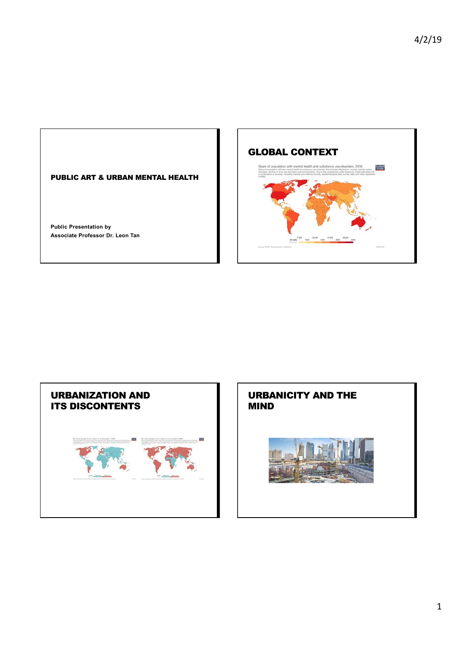#### PUBLIC ART & URBAN MENTAL HEALTH

**Public Presentation by Associate Professor Dr. Leon Tan**



# URBANIZATION AND ITS DISCONTENTS



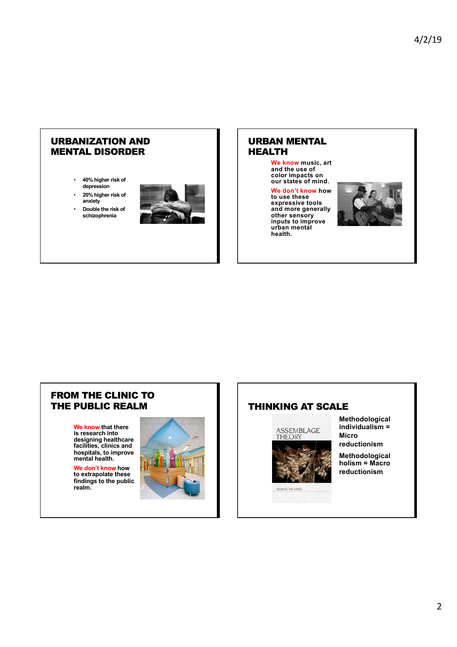#### URBANIZATION AND MENTAL DISORDER

- **40% higher risk of depression**
- **20% higher risk of anxiety**
- **Double the risk of schizophrenia**



#### URBAN MENTAL HEALTH

**We know music, art and the use of color impacts on our states of mind.** 

#### **We don't know how to use these expressive tools and more generally other sensory inputs to improve urban mental health.**



#### FROM THE CLINIC TO THE PUBLIC REALM

**We know that there is research into designing healthcare facilities, clinics and hospitals, to improve mental health.**

**We don't know how to extrapolate these findings to the public realm.** 



## THINKING AT SCALE

ASSEMBLAGE<br>THEORY



**Methodological individualism = Micro** 

**reductionism**

**Methodological holism = Macro reductionism**

2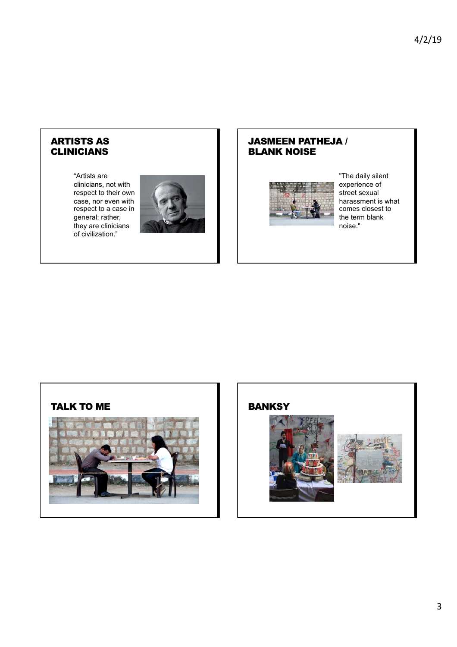#### ARTISTS AS CLINICIANS

"Artists are clinicians, not with respect to their own case, nor even with respect to a case in general; rather, they are clinicians of civilization."



#### JASMEEN PATHEJA / BLANK NOISE



"The daily silent experience of street sexual harassment is what comes closest to the term blank noise."

#### TALK TO ME **BANKSY**





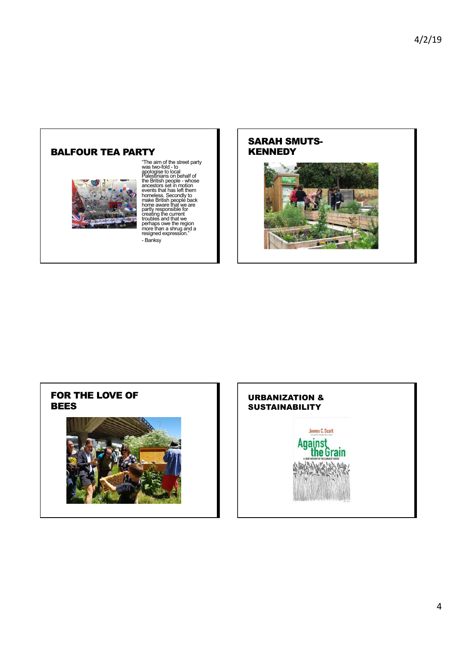#### BALFOUR TEA PARTY



"The aim of the street party<br>was two-fold - to<br>apologise to local<br>Palestinians on behalf of<br>the British people - whose<br>ancestors set in motion<br>events that has left them homeless. Secondly to<br>make British people back<br>home aware that we are<br>partly responsible for<br>troubles and that we<br>perhaps owe the region<br>more than a shrug and a<br>more than a shrug and a<br>resigned expression." - Banksy

#### SARAH SMUTS-**KENNEDY**



## FOR THE LOVE OF BEES